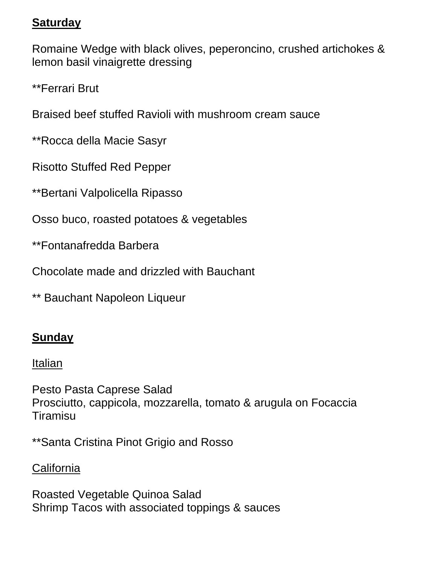## **Saturday**

Romaine Wedge with black olives, peperoncino, crushed artichokes & lemon basil vinaigrette dressing

\*\*Ferrari Brut

Braised beef stuffed Ravioli with mushroom cream sauce

\*\*Rocca della Macie Sasyr

Risotto Stuffed Red Pepper

\*\*Bertani Valpolicella Ripasso

Osso buco, roasted potatoes & vegetables

\*\*Fontanafredda Barbera

Chocolate made and drizzled with Bauchant

\*\* Bauchant Napoleon Liqueur

# **Sunday**

#### Italian

Pesto Pasta Caprese Salad Prosciutto, cappicola, mozzarella, tomato & arugula on Focaccia Tiramisu

\*\*Santa Cristina Pinot Grigio and Rosso

## **California**

Roasted Vegetable Quinoa Salad Shrimp Tacos with associated toppings & sauces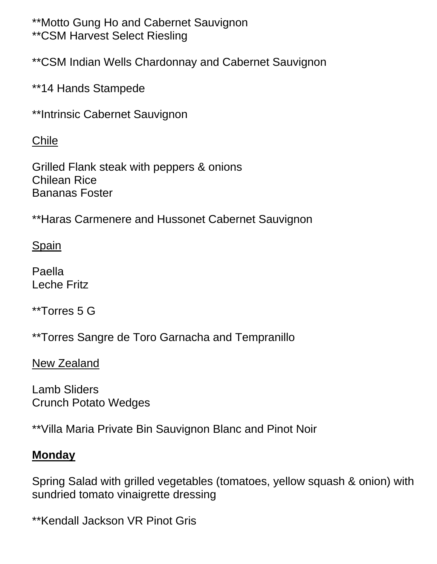\*\*Motto Gung Ho and Cabernet Sauvignon \*\*CSM Harvest Select Riesling

\*\*CSM Indian Wells Chardonnay and Cabernet Sauvignon

\*\*14 Hands Stampede

\*\*Intrinsic Cabernet Sauvignon

Chile

Grilled Flank steak with peppers & onions Chilean Rice Bananas Foster

\*\*Haras Carmenere and Hussonet Cabernet Sauvignon

Spain

Paella Leche Fritz

\*\*Torres 5 G

\*\*Torres Sangre de Toro Garnacha and Tempranillo

New Zealand

Lamb Sliders Crunch Potato Wedges

\*\*Villa Maria Private Bin Sauvignon Blanc and Pinot Noir

#### **Monday**

Spring Salad with grilled vegetables (tomatoes, yellow squash & onion) with sundried tomato vinaigrette dressing

\*\*Kendall Jackson VR Pinot Gris